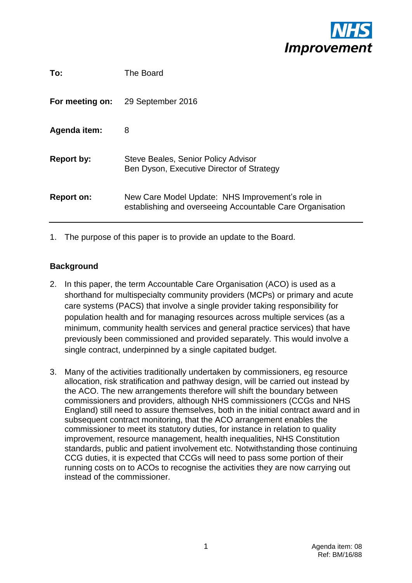

| To:               | The Board                                                                                                     |
|-------------------|---------------------------------------------------------------------------------------------------------------|
| For meeting on:   | 29 September 2016                                                                                             |
| Agenda item:      | 8                                                                                                             |
| <b>Report by:</b> | Steve Beales, Senior Policy Advisor<br>Ben Dyson, Executive Director of Strategy                              |
| <b>Report on:</b> | New Care Model Update: NHS Improvement's role in<br>establishing and overseeing Accountable Care Organisation |
|                   |                                                                                                               |

1. The purpose of this paper is to provide an update to the Board.

## **Background**

- 2. In this paper, the term Accountable Care Organisation (ACO) is used as a shorthand for multispecialty community providers (MCPs) or primary and acute care systems (PACS) that involve a single provider taking responsibility for population health and for managing resources across multiple services (as a minimum, community health services and general practice services) that have previously been commissioned and provided separately. This would involve a single contract, underpinned by a single capitated budget.
- 3. Many of the activities traditionally undertaken by commissioners, eg resource allocation, risk stratification and pathway design, will be carried out instead by the ACO. The new arrangements therefore will shift the boundary between commissioners and providers, although NHS commissioners (CCGs and NHS England) still need to assure themselves, both in the initial contract award and in subsequent contract monitoring, that the ACO arrangement enables the commissioner to meet its statutory duties, for instance in relation to quality improvement, resource management, health inequalities, NHS Constitution standards, public and patient involvement etc. Notwithstanding those continuing CCG duties, it is expected that CCGs will need to pass some portion of their running costs on to ACOs to recognise the activities they are now carrying out instead of the commissioner.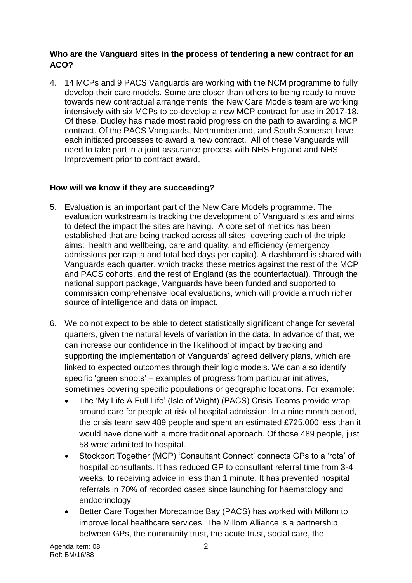## **Who are the Vanguard sites in the process of tendering a new contract for an ACO?**

4. 14 MCPs and 9 PACS Vanguards are working with the NCM programme to fully develop their care models. Some are closer than others to being ready to move towards new contractual arrangements: the New Care Models team are working intensively with six MCPs to co-develop a new MCP contract for use in 2017-18. Of these, Dudley has made most rapid progress on the path to awarding a MCP contract. Of the PACS Vanguards, Northumberland, and South Somerset have each initiated processes to award a new contract. All of these Vanguards will need to take part in a joint assurance process with NHS England and NHS Improvement prior to contract award.

# **How will we know if they are succeeding?**

- 5. Evaluation is an important part of the New Care Models programme. The evaluation workstream is tracking the development of Vanguard sites and aims to detect the impact the sites are having. A core set of metrics has been established that are being tracked across all sites, covering each of the triple aims: health and wellbeing, care and quality, and efficiency (emergency admissions per capita and total bed days per capita). A dashboard is shared with Vanguards each quarter, which tracks these metrics against the rest of the MCP and PACS cohorts, and the rest of England (as the counterfactual). Through the national support package, Vanguards have been funded and supported to commission comprehensive local evaluations, which will provide a much richer source of intelligence and data on impact.
- 6. We do not expect to be able to detect statistically significant change for several quarters, given the natural levels of variation in the data. In advance of that, we can increase our confidence in the likelihood of impact by tracking and supporting the implementation of Vanguards' agreed delivery plans, which are linked to expected outcomes through their logic models. We can also identify specific 'green shoots' – examples of progress from particular initiatives, sometimes covering specific populations or geographic locations. For example:
	- The 'My Life A Full Life' (Isle of Wight) (PACS) Crisis Teams provide wrap around care for people at risk of hospital admission. In a nine month period, the crisis team saw 489 people and spent an estimated £725,000 less than it would have done with a more traditional approach. Of those 489 people, just 58 were admitted to hospital.
	- Stockport Together (MCP) 'Consultant Connect' connects GPs to a 'rota' of hospital consultants. It has reduced GP to consultant referral time from 3-4 weeks, to receiving advice in less than 1 minute. It has prevented hospital referrals in 70% of recorded cases since launching for haematology and endocrinology.
	- Better Care Together Morecambe Bay (PACS) has worked with Millom to improve local healthcare services. The Millom Alliance is a partnership between GPs, the community trust, the acute trust, social care, the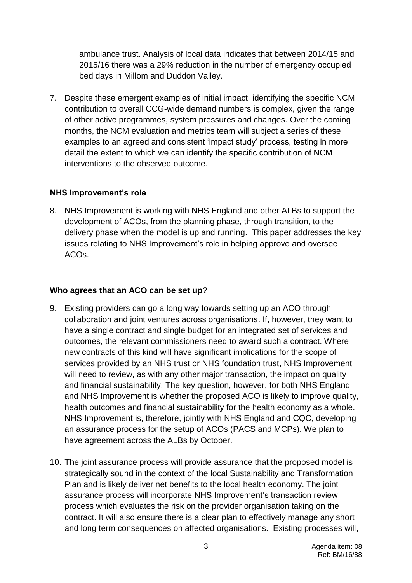ambulance trust. Analysis of local data indicates that between 2014/15 and 2015/16 there was a 29% reduction in the number of emergency occupied bed days in Millom and Duddon Valley.

7. Despite these emergent examples of initial impact, identifying the specific NCM contribution to overall CCG-wide demand numbers is complex, given the range of other active programmes, system pressures and changes. Over the coming months, the NCM evaluation and metrics team will subject a series of these examples to an agreed and consistent 'impact study' process, testing in more detail the extent to which we can identify the specific contribution of NCM interventions to the observed outcome.

#### **NHS Improvement's role**

8. NHS Improvement is working with NHS England and other ALBs to support the development of ACOs, from the planning phase, through transition, to the delivery phase when the model is up and running. This paper addresses the key issues relating to NHS Improvement's role in helping approve and oversee ACOs.

#### **Who agrees that an ACO can be set up?**

- 9. Existing providers can go a long way towards setting up an ACO through collaboration and joint ventures across organisations. If, however, they want to have a single contract and single budget for an integrated set of services and outcomes, the relevant commissioners need to award such a contract. Where new contracts of this kind will have significant implications for the scope of services provided by an NHS trust or NHS foundation trust, NHS Improvement will need to review, as with any other major transaction, the impact on quality and financial sustainability. The key question, however, for both NHS England and NHS Improvement is whether the proposed ACO is likely to improve quality, health outcomes and financial sustainability for the health economy as a whole. NHS Improvement is, therefore, jointly with NHS England and CQC, developing an assurance process for the setup of ACOs (PACS and MCPs). We plan to have agreement across the ALBs by October.
- 10. The joint assurance process will provide assurance that the proposed model is strategically sound in the context of the local Sustainability and Transformation Plan and is likely deliver net benefits to the local health economy. The joint assurance process will incorporate NHS Improvement's transaction review process which evaluates the risk on the provider organisation taking on the contract. It will also ensure there is a clear plan to effectively manage any short and long term consequences on affected organisations. Existing processes will,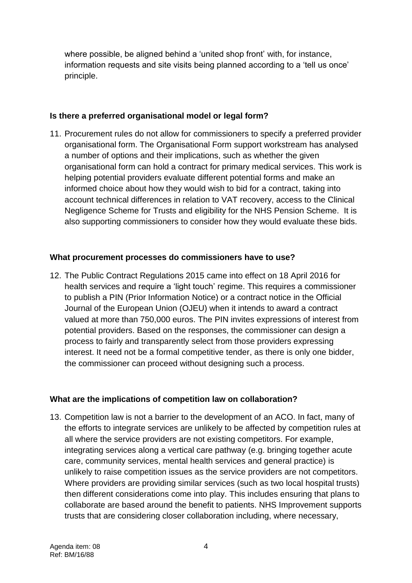where possible, be aligned behind a 'united shop front' with, for instance, information requests and site visits being planned according to a 'tell us once' principle.

## **Is there a preferred organisational model or legal form?**

11. Procurement rules do not allow for commissioners to specify a preferred provider organisational form. The Organisational Form support workstream has analysed a number of options and their implications, such as whether the given organisational form can hold a contract for primary medical services. This work is helping potential providers evaluate different potential forms and make an informed choice about how they would wish to bid for a contract, taking into account technical differences in relation to VAT recovery, access to the Clinical Negligence Scheme for Trusts and eligibility for the NHS Pension Scheme. It is also supporting commissioners to consider how they would evaluate these bids.

# **What procurement processes do commissioners have to use?**

12. The Public Contract Regulations 2015 came into effect on 18 April 2016 for health services and require a 'light touch' regime. This requires a commissioner to publish a PIN (Prior Information Notice) or a contract notice in the Official Journal of the European Union (OJEU) when it intends to award a contract valued at more than 750,000 euros. The PIN invites expressions of interest from potential providers. Based on the responses, the commissioner can design a process to fairly and transparently select from those providers expressing interest. It need not be a formal competitive tender, as there is only one bidder, the commissioner can proceed without designing such a process.

# **What are the implications of competition law on collaboration?**

13. Competition law is not a barrier to the development of an ACO. In fact, many of the efforts to integrate services are unlikely to be affected by competition rules at all where the service providers are not existing competitors. For example, integrating services along a vertical care pathway (e.g. bringing together acute care, community services, mental health services and general practice) is unlikely to raise competition issues as the service providers are not competitors. Where providers are providing similar services (such as two local hospital trusts) then different considerations come into play. This includes ensuring that plans to collaborate are based around the benefit to patients. NHS Improvement supports trusts that are considering closer collaboration including, where necessary,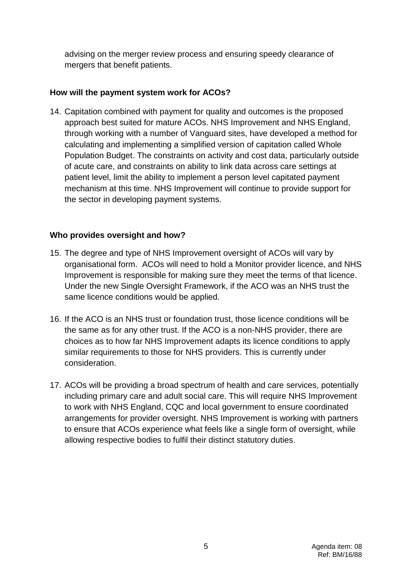advising on the merger review process and ensuring speedy clearance of mergers that benefit patients.

## **How will the payment system work for ACOs?**

14. Capitation combined with payment for quality and outcomes is the proposed approach best suited for mature ACOs. NHS Improvement and NHS England, through working with a number of Vanguard sites, have developed a method for calculating and implementing a simplified version of capitation called Whole Population Budget. The constraints on activity and cost data, particularly outside of acute care, and constraints on ability to link data across care settings at patient level, limit the ability to implement a person level capitated payment mechanism at this time. NHS Improvement will continue to provide support for the sector in developing payment systems.

## **Who provides oversight and how?**

- 15. The degree and type of NHS Improvement oversight of ACOs will vary by organisational form. ACOs will need to hold a Monitor provider licence, and NHS Improvement is responsible for making sure they meet the terms of that licence. Under the new Single Oversight Framework, if the ACO was an NHS trust the same licence conditions would be applied.
- 16. If the ACO is an NHS trust or foundation trust, those licence conditions will be the same as for any other trust. If the ACO is a non-NHS provider, there are choices as to how far NHS Improvement adapts its licence conditions to apply similar requirements to those for NHS providers. This is currently under consideration.
- 17. ACOs will be providing a broad spectrum of health and care services, potentially including primary care and adult social care. This will require NHS Improvement to work with NHS England, CQC and local government to ensure coordinated arrangements for provider oversight. NHS Improvement is working with partners to ensure that ACOs experience what feels like a single form of oversight, while allowing respective bodies to fulfil their distinct statutory duties.